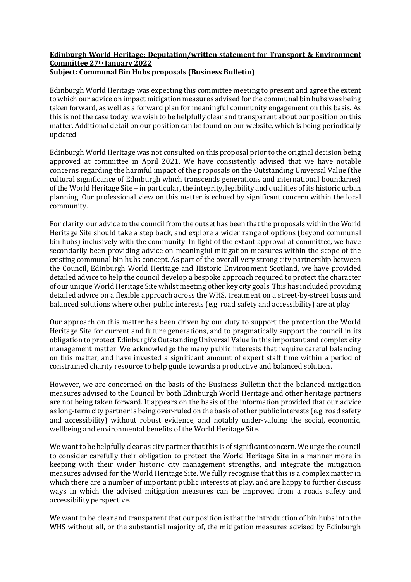## **Edinburgh World Heritage: Deputation/written statement for Transport & Environment Committee 27th January 2022 Subject: Communal Bin Hubs proposals (Business Bulletin)**

Edinburgh World Heritage was expecting this committee meeting to present and agree the extent to which our advice on impact mitigation measures advised for the communal bin hubs was being taken forward, as well as a forward plan for meaningful community engagement on this basis. As this is not the case today, we wish to be helpfully clear and transparent about our position on this matter. Additional detail on our position can be found on our website, which is being periodically updated.

Edinburgh World Heritage was not consulted on this proposal prior to the original decision being approved at committee in April 2021. We have consistently advised that we have notable concerns regarding the harmful impact of the proposals on the Outstanding Universal Value (the cultural significance of Edinburgh which transcends generations and international boundaries) of the World Heritage Site – in particular, the integrity, legibility and qualities of its historic urban planning. Our professional view on this matter is echoed by significant concern within the local community.

For clarity, our advice to the council from the outset has been that the proposals within the World Heritage Site should take a step back, and explore a wider range of options (beyond communal bin hubs) inclusively with the community. In light of the extant approval at committee, we have secondarily been providing advice on meaningful mitigation measures within the scope of the existing communal bin hubs concept. As part of the overall very strong city partnership between the Council, Edinburgh World Heritage and Historic Environment Scotland, we have provided detailed advice to help the council develop a bespoke approach required to protect the character of our unique World Heritage Site whilst meeting other key city goals. This has included providing detailed advice on a flexible approach across the WHS, treatment on a street-by-street basis and balanced solutions where other public interests (e.g. road safety and accessibility) are at play.

Our approach on this matter has been driven by our duty to support the protection the World Heritage Site for current and future generations, and to pragmatically support the council in its obligation to protect Edinburgh's Outstanding Universal Value in this important and complex city management matter. We acknowledge the many public interests that require careful balancing on this matter, and have invested a significant amount of expert staff time within a period of constrained charity resource to help guide towards a productive and balanced solution.

However, we are concerned on the basis of the Business Bulletin that the balanced mitigation measures advised to the Council by both Edinburgh World Heritage and other heritage partners are not being taken forward. It appears on the basis of the information provided that our advice as long-term city partner is being over-ruled on the basis of other public interests (e.g. road safety and accessibility) without robust evidence, and notably under-valuing the social, economic, wellbeing and environmental benefits of the World Heritage Site.

We want to be helpfully clear as city partner that this is of significant concern. We urge the council to consider carefully their obligation to protect the World Heritage Site in a manner more in keeping with their wider historic city management strengths, and integrate the mitigation measures advised for the World Heritage Site. We fully recognise that this is a complex matter in which there are a number of important public interests at play, and are happy to further discuss ways in which the advised mitigation measures can be improved from a roads safety and accessibility perspective.

We want to be clear and transparent that our position is that the introduction of bin hubs into the WHS without all, or the substantial majority of, the mitigation measures advised by Edinburgh